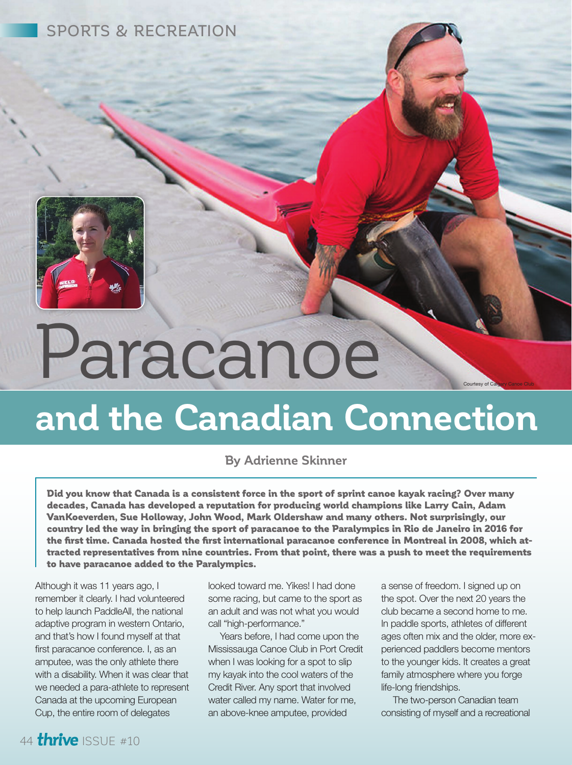SPORTS & RECREATION

## Paracanoe

## **and the Canadian Connection**

## **By Adrienne Skinner**

Did you know that Canada is a consistent force in the sport of sprint canoe kayak racing? Over many decades, Canada has developed a reputation for producing world champions like Larry Cain, Adam VanKoeverden, Sue Holloway, John Wood, Mark Oldershaw and many others. Not surprisingly, our country led the way in bringing the sport of paracanoe to the Paralympics in Rio de Janeiro in 2016 for the first time. Canada hosted the first international paracanoe conference in Montreal in 2008, which attracted representatives from nine countries. From that point, there was a push to meet the requirements to have paracanoe added to the Paralympics.

Although it was 11 years ago, I remember it clearly. I had volunteered to help launch PaddleAll, the national adaptive program in western Ontario, and that's how I found myself at that first paracanoe conference. I, as an amputee, was the only athlete there with a disability. When it was clear that we needed a para-athlete to represent Canada at the upcoming European Cup, the entire room of delegates

looked toward me. Yikes! I had done some racing, but came to the sport as an adult and was not what you would call "high-performance."

Credit River. Any sport that involved Years before, I had come upon the Mississauga Canoe Club in Port Credit when I was looking for a spot to slip my kayak into the cool waters of the water called my name. Water for me, an above-knee amputee, provided

a sense of freedom. I signed up on the spot. Over the next 20 years the club became a second home to me. In paddle sports, athletes of different ages often mix and the older, more experienced paddlers become mentors to the younger kids. It creates a great family atmosphere where you forge life-long friendships.

Courtesy of C

The two-person Canadian team consisting of myself and a recreational